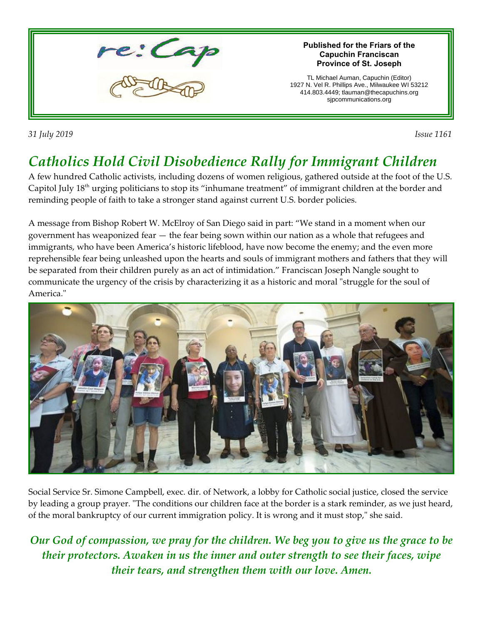

*31 July 2019 Issue 1161* 

## *Catholics Hold Civil Disobedience Rally for Immigrant Children*

A few hundred Catholic activists, including dozens of women religious, gathered outside at the foot of the U.S. Capitol July 18th urging politicians to stop its "inhumane treatment" of immigrant children at the border and reminding people of faith to take a stronger stand against current U.S. border policies.

A message from Bishop Robert W. McElroy of San Diego said in part: "We stand in a moment when our government has weaponized fear — the fear being sown within our nation as a whole that refugees and immigrants, who have been America's historic lifeblood, have now become the enemy; and the even more reprehensible fear being unleashed upon the hearts and souls of immigrant mothers and fathers that they will be separated from their children purely as an act of intimidation." Franciscan Joseph Nangle sought to communicate the urgency of the crisis by characterizing it as a historic and moral "struggle for the soul of America."



Social Service Sr. Simone Campbell, exec. dir. of Network, a lobby for Catholic social justice, closed the service by leading a group prayer. "The conditions our children face at the border is a stark reminder, as we just heard, of the moral bankruptcy of our current immigration policy. It is wrong and it must stop," she said.

*Our God of compassion, we pray for the children. We beg you to give us the grace to be their protectors. Awaken in us the inner and outer strength to see their faces, wipe their tears, and strengthen them with our love. Amen.*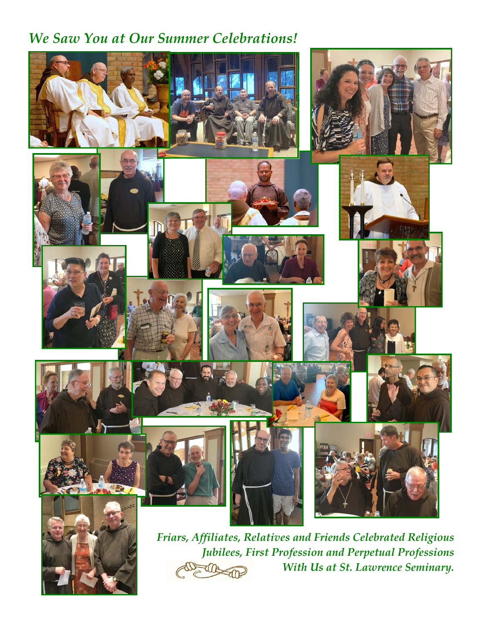## *We Saw You at Our Summer Celebrations!*





*Friars, Affiliates, Relatives and Friends Celebrated Religious Jubilees, First Profession and Perpetual Professions With Us at St. Lawrence Seminary.*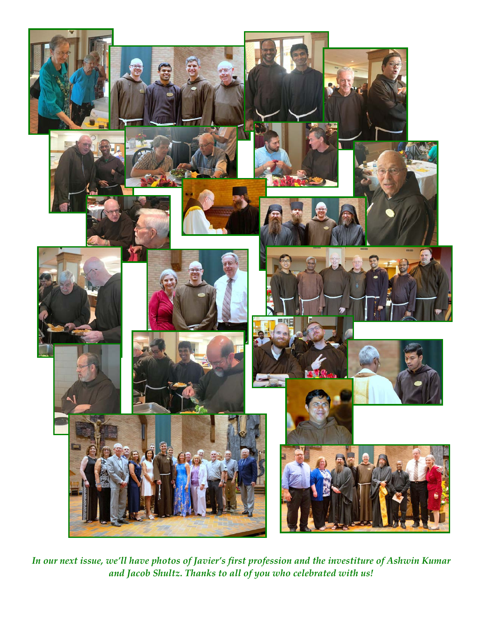

*In our next issue, we'll have photos of Javier's first profession and the investiture of Ashwin Kumar and Jacob Shultz. Thanks to all of you who celebrated with us!*